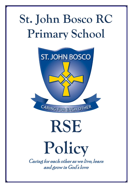### **St. John Bosco RC Primary School**



## **RSE**

# **Policy**

Caring for each other as we live, learn and grow in God's love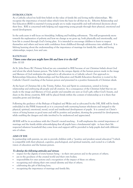### **INTRODUCTION**

As a Catholic school we hold firm beliefs in the value of family life and loving stable relationships. We recognise the importance of moral values which form the basis for all that we do. Effective Relationship and Sex Education (RSE) is essential if young people are to make responsible and well informed decisions about their lives. RSE is concerned with helping and supporting young people through their physical, emotional and moral development.

In the early years it will focus on friendship, bullying and building self-esteem. This will progressively move towards the explanation of puberty and how we change as we grow up, both physically and emotionally, and how life is created through God's loving plan. It is intended to encourage children to learn to respect themselves and others and move with confidence from childhood through adolescence into adulthood. It is lifelong learning about the understanding of the importance of marriage for family life, stable and loving relationships, respect, love and care.

### **RATIONALE**

### 'I have come that you might have life and have it to the full' *(John 10.10)*

At St. John Bosco RC Primary School we are committed to RSE because of our Christian beliefs about God and about the whole human person. The belief in the unique dignity of the human person made in the image and likeness of God underpins the approach to all education in a Catholic school. Our approach to Relationships Education, Relationships and Sex Education and Health Education therefore is rooted in the Catholic Church's teaching of the human person and presented in a positive framework of Christian ideals.

At the heart of Christian life is the Trinity, Father, Son and Spirit in communion, united in loving relationship and embracing all people and all creation. As a consequence of the Christian belief that we are made in the image and likeness of God, gender and sexuality are seen as God's gift, reflect God's beauty, and share in the divine creativity. RSE will be placed firmly within the context of relationship as it is there that sexuality grows and develops.

Following the guidance of the Bishops of England and Wales and as advocated by the DfE, RSE will be firmly embedded in the PSHE framework as it is concerned with nurturing human wholeness and integral to the physical, spiritual, emotional, moral, social and intellectual development of pupils. It is centred on Christ's vision of being human as good news and will be positive and prudent, showing the potential for development, while enabling the dangers and risks involved to be understood and appreciated.

All RSE will be in accordance with the Church's moral teaching . It will emphasise the central importance of marriage and the family whilst acknowledging that all pupils have a fundamental right to have their life respected whatever household they come from and support will be provided to help pupils deal with different sets of values.

### **AIMS OF RSE**

In partnership with parents, we aim to provide children with a "positive and prudent sexual education"3 which is compatible with their physical, cognitive, psychological, and spiritual maturity, and rooted in a Catholic vision of education and the human person.

### To develop the following attitudes and virtues:

- respect for the dignity of every human being in their own person and in the person of others;
- joy in the goodness of the created world and their own bodies;
- responsibility for ones actions and a recognition of the impact of these on others;
- recognising and valuing their own sexual identity and that of others;
- celebrating the gift of life-long love;
- recognising the importance of marriage and family life;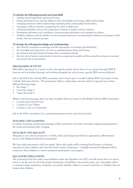### To develop the following personal and social skills:

- making sound judgements and good choices;
- loving and being loved, and the ability to form friendships and loving, stable relationships;
- managing emotions within relationships including when relationships break down;
- managing conflict positively, recognising the value of difference;
- cultivating humility, mercy and compassion, learning to forgive and be forgiven;
- developing self-esteem and confidence, demonstrating self-respect and empathy for others;
- building resilience and the ability to resist unwanted pressures, recognising the influence and impact of the media, internet and peer groups;

### To develop the following knowledge and understanding

- the Church's teaching on marriage and the importance of marriage and family life;
- the centrality and importance of virtue in guiding human living and loving;
- the physical and psychological changes that accompany puberty;
- the facts about human reproduction, how love is expressed sexually and how sexual love plays an essential and sacred role in procreation

### **PROGRAMME OF STUDY**

RSE will be developed in a variety of ways: through the whole school ethos of our school; through PSHCE sessions and curriculum learning; and working alongside the school nurse, specific RSE sessions delivered.

Life to the Full is the Catholic RSE curriculum and is based upon 'a model Catholic RSE Curriculum' by the Catholic Education Service. The programme follows a three-stage structure which is repeated across three different learning stages:

- 1. Key Stage 1
- 2. Lower Key Stage 2
- 3. Upper Key Stage 2

Within each learning stage, there are three modules which are based on the Model Catholic RSE Curriculum:

- Created and Loved by God;
- Created to Love Others;
- Created to Live in Community

Life to the Full is intended to be a partnership between home, school and church

### **TEACHING AND LEARNING**

A variety of teaching and learning strategies will be used from across the curriculum adapted appropriately to the needs and learning styles of pupils.

### **INCLUSION AND EQUALITY**

All pupils in our school, irrespective of ability, faith and background will have appropriate, differentiated access to the Religious Education programme.

We have high expectations of all our pupils. More able pupils will be stretched and barriers to learning removed for those children who have low levels of prior attainment. Carefully structured challenged will be created for these children to ensure maximum participation and progress.

### **EQUALITIES OBLIGATIONS**

The governing body have wider responsibilities under the Equalities Act 2010 and will ensure that our school strives to do the best for all of the pupils, irrespective of disability, educational needs, race, nationality, ethnic or national origin, pregnancy, maternity, sex, gender identity, religion or sexual orientation or whether they are looked after children.